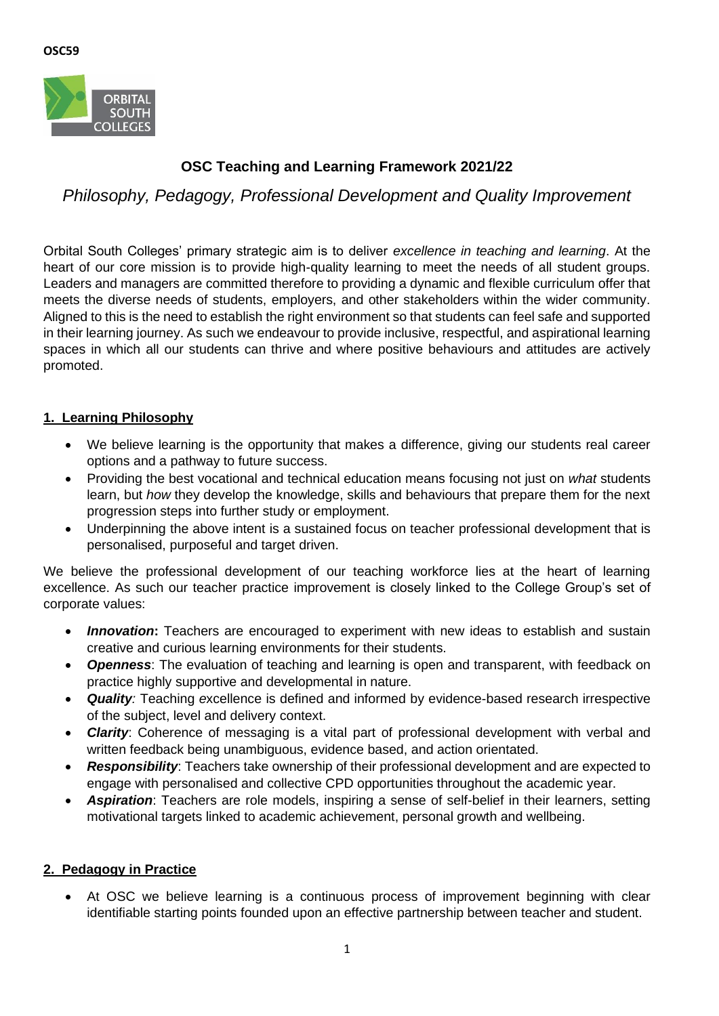

# **OSC Teaching and Learning Framework 2021/22**

*Philosophy, Pedagogy, Professional Development and Quality Improvement*

Orbital South Colleges' primary strategic aim is to deliver *excellence in teaching and learning*. At the heart of our core mission is to provide high-quality learning to meet the needs of all student groups. Leaders and managers are committed therefore to providing a dynamic and flexible curriculum offer that meets the diverse needs of students, employers, and other stakeholders within the wider community. Aligned to this is the need to establish the right environment so that students can feel safe and supported in their learning journey. As such we endeavour to provide inclusive, respectful, and aspirational learning spaces in which all our students can thrive and where positive behaviours and attitudes are actively promoted.

# **1. Learning Philosophy**

- We believe learning is the opportunity that makes a difference, giving our students real career options and a pathway to future success.
- Providing the best vocational and technical education means focusing not just on *what* students learn, but *how* they develop the knowledge, skills and behaviours that prepare them for the next progression steps into further study or employment.
- Underpinning the above intent is a sustained focus on teacher professional development that is personalised, purposeful and target driven.

We believe the professional development of our teaching workforce lies at the heart of learning excellence. As such our teacher practice improvement is closely linked to the College Group's set of corporate values:

- **Innovation:** Teachers are encouraged to experiment with new ideas to establish and sustain creative and curious learning environments for their students.
- *Openness*: The evaluation of teaching and learning is open and transparent, with feedback on practice highly supportive and developmental in nature.
- *Quality:* Teaching *e*xcellence is defined and informed by evidence-based research irrespective of the subject, level and delivery context.
- *Clarity*: Coherence of messaging is a vital part of professional development with verbal and written feedback being unambiguous, evidence based, and action orientated.
- *Responsibility*: Teachers take ownership of their professional development and are expected to engage with personalised and collective CPD opportunities throughout the academic year.
- *Aspiration*: Teachers are role models, inspiring a sense of self-belief in their learners, setting motivational targets linked to academic achievement, personal growth and wellbeing.

# **2. Pedagogy in Practice**

• At OSC we believe learning is a continuous process of improvement beginning with clear identifiable starting points founded upon an effective partnership between teacher and student.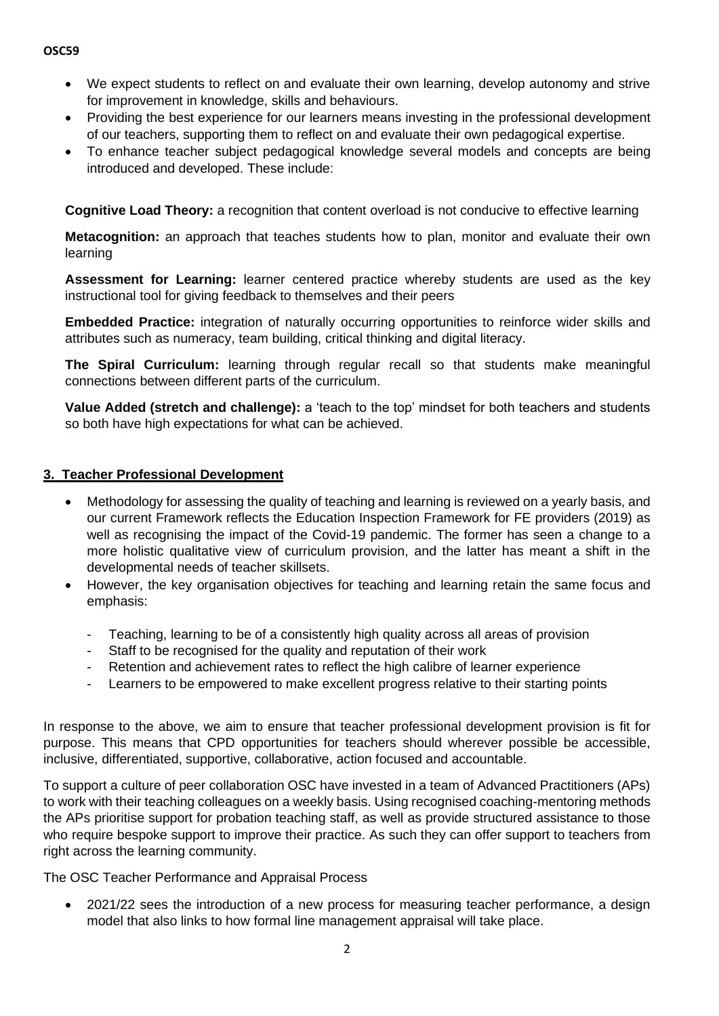#### **OSC59**

- We expect students to reflect on and evaluate their own learning, develop autonomy and strive for improvement in knowledge, skills and behaviours.
- Providing the best experience for our learners means investing in the professional development of our teachers, supporting them to reflect on and evaluate their own pedagogical expertise.
- To enhance teacher subject pedagogical knowledge several models and concepts are being introduced and developed. These include:

**Cognitive Load Theory:** a recognition that content overload is not conducive to effective learning

**Metacognition:** an approach that teaches students how to plan, monitor and evaluate their own learning

**Assessment for Learning:** learner centered practice whereby students are used as the key instructional tool for giving feedback to themselves and their peers

**Embedded Practice:** integration of naturally occurring opportunities to reinforce wider skills and attributes such as numeracy, team building, critical thinking and digital literacy.

**The Spiral Curriculum:** learning through regular recall so that students make meaningful connections between different parts of the curriculum.

**Value Added (stretch and challenge):** a 'teach to the top' mindset for both teachers and students so both have high expectations for what can be achieved.

#### **3. Teacher Professional Development**

- Methodology for assessing the quality of teaching and learning is reviewed on a yearly basis, and our current Framework reflects the Education Inspection Framework for FE providers (2019) as well as recognising the impact of the Covid-19 pandemic. The former has seen a change to a more holistic qualitative view of curriculum provision, and the latter has meant a shift in the developmental needs of teacher skillsets.
- However, the key organisation objectives for teaching and learning retain the same focus and emphasis:
	- Teaching, learning to be of a consistently high quality across all areas of provision
	- Staff to be recognised for the quality and reputation of their work
	- Retention and achievement rates to reflect the high calibre of learner experience
	- Learners to be empowered to make excellent progress relative to their starting points

In response to the above, we aim to ensure that teacher professional development provision is fit for purpose. This means that CPD opportunities for teachers should wherever possible be accessible, inclusive, differentiated, supportive, collaborative, action focused and accountable.

To support a culture of peer collaboration OSC have invested in a team of Advanced Practitioners (APs) to work with their teaching colleagues on a weekly basis. Using recognised coaching-mentoring methods the APs prioritise support for probation teaching staff, as well as provide structured assistance to those who require bespoke support to improve their practice. As such they can offer support to teachers from right across the learning community.

The OSC Teacher Performance and Appraisal Process

• 2021/22 sees the introduction of a new process for measuring teacher performance, a design model that also links to how formal line management appraisal will take place.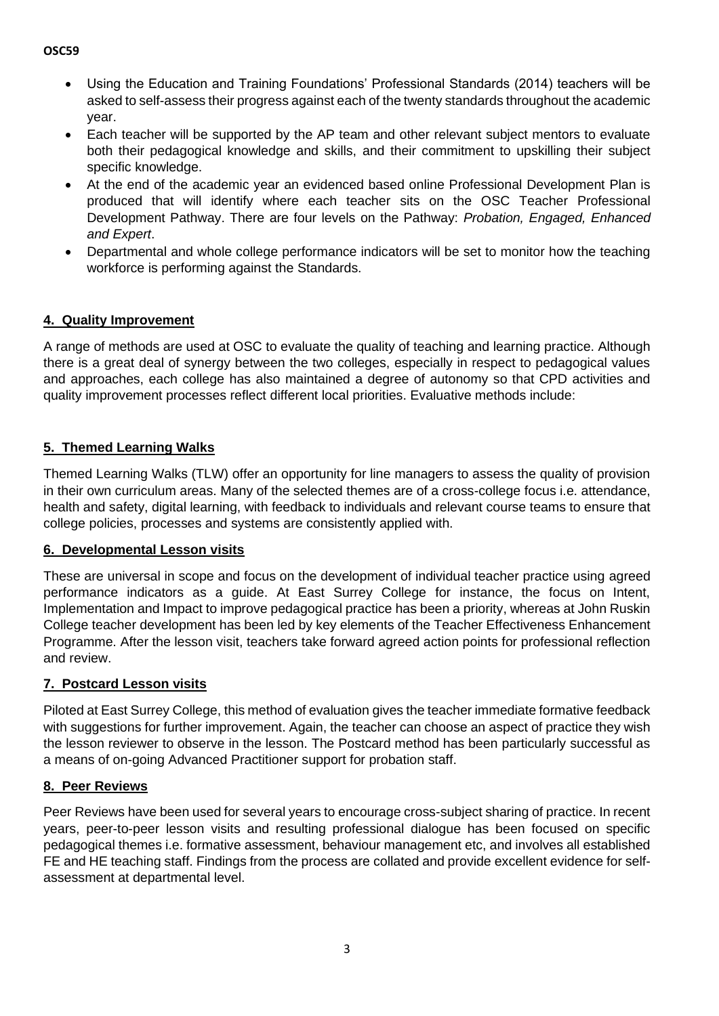#### **OSC59**

- Using the Education and Training Foundations' Professional Standards (2014) teachers will be asked to self-assess their progress against each of the twenty standards throughout the academic year.
- Each teacher will be supported by the AP team and other relevant subject mentors to evaluate both their pedagogical knowledge and skills, and their commitment to upskilling their subject specific knowledge.
- At the end of the academic year an evidenced based online Professional Development Plan is produced that will identify where each teacher sits on the OSC Teacher Professional Development Pathway. There are four levels on the Pathway: *Probation, Engaged, Enhanced and Expert*.
- Departmental and whole college performance indicators will be set to monitor how the teaching workforce is performing against the Standards.

# **4. Quality Improvement**

A range of methods are used at OSC to evaluate the quality of teaching and learning practice. Although there is a great deal of synergy between the two colleges, especially in respect to pedagogical values and approaches, each college has also maintained a degree of autonomy so that CPD activities and quality improvement processes reflect different local priorities. Evaluative methods include:

# **5. Themed Learning Walks**

Themed Learning Walks (TLW) offer an opportunity for line managers to assess the quality of provision in their own curriculum areas. Many of the selected themes are of a cross-college focus i.e. attendance, health and safety, digital learning, with feedback to individuals and relevant course teams to ensure that college policies, processes and systems are consistently applied with.

# **6. Developmental Lesson visits**

These are universal in scope and focus on the development of individual teacher practice using agreed performance indicators as a guide. At East Surrey College for instance, the focus on Intent, Implementation and Impact to improve pedagogical practice has been a priority, whereas at John Ruskin College teacher development has been led by key elements of the Teacher Effectiveness Enhancement Programme. After the lesson visit, teachers take forward agreed action points for professional reflection and review.

# **7. Postcard Lesson visits**

Piloted at East Surrey College, this method of evaluation gives the teacher immediate formative feedback with suggestions for further improvement. Again, the teacher can choose an aspect of practice they wish the lesson reviewer to observe in the lesson. The Postcard method has been particularly successful as a means of on-going Advanced Practitioner support for probation staff.

# **8. Peer Reviews**

Peer Reviews have been used for several years to encourage cross-subject sharing of practice. In recent years, peer-to-peer lesson visits and resulting professional dialogue has been focused on specific pedagogical themes i.e. formative assessment, behaviour management etc, and involves all established FE and HE teaching staff. Findings from the process are collated and provide excellent evidence for selfassessment at departmental level.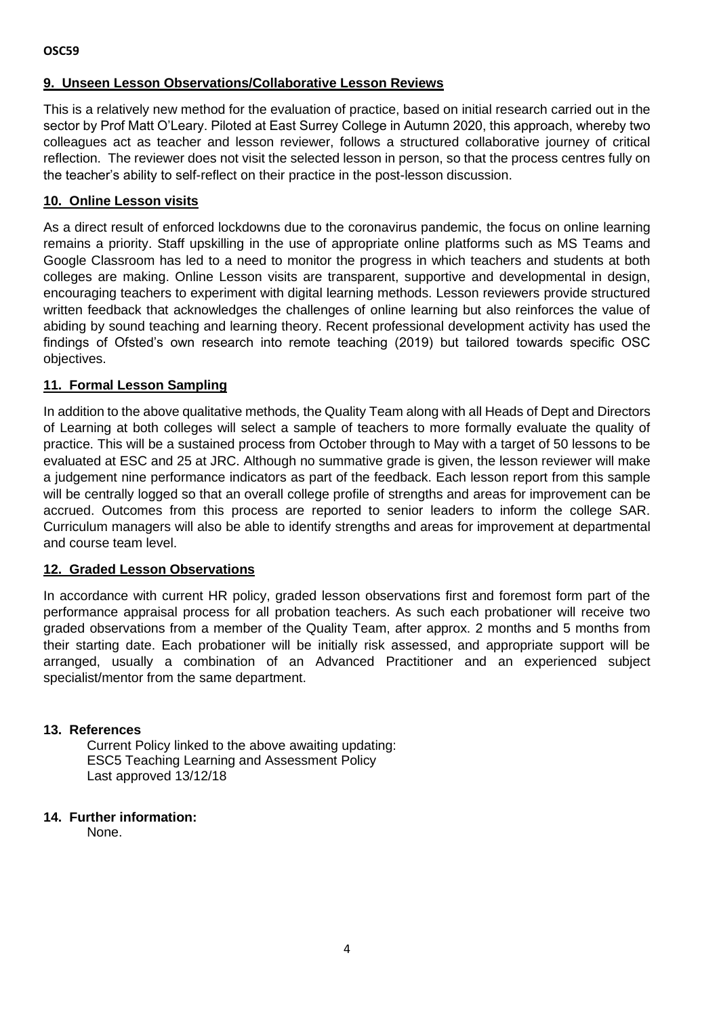# **9. Unseen Lesson Observations/Collaborative Lesson Reviews**

This is a relatively new method for the evaluation of practice, based on initial research carried out in the sector by Prof Matt O'Leary. Piloted at East Surrey College in Autumn 2020, this approach, whereby two colleagues act as teacher and lesson reviewer, follows a structured collaborative journey of critical reflection. The reviewer does not visit the selected lesson in person, so that the process centres fully on the teacher's ability to self-reflect on their practice in the post-lesson discussion.

#### **10. Online Lesson visits**

As a direct result of enforced lockdowns due to the coronavirus pandemic, the focus on online learning remains a priority. Staff upskilling in the use of appropriate online platforms such as MS Teams and Google Classroom has led to a need to monitor the progress in which teachers and students at both colleges are making. Online Lesson visits are transparent, supportive and developmental in design, encouraging teachers to experiment with digital learning methods. Lesson reviewers provide structured written feedback that acknowledges the challenges of online learning but also reinforces the value of abiding by sound teaching and learning theory. Recent professional development activity has used the findings of Ofsted's own research into remote teaching (2019) but tailored towards specific OSC objectives.

# **11. Formal Lesson Sampling**

In addition to the above qualitative methods, the Quality Team along with all Heads of Dept and Directors of Learning at both colleges will select a sample of teachers to more formally evaluate the quality of practice. This will be a sustained process from October through to May with a target of 50 lessons to be evaluated at ESC and 25 at JRC. Although no summative grade is given, the lesson reviewer will make a judgement nine performance indicators as part of the feedback. Each lesson report from this sample will be centrally logged so that an overall college profile of strengths and areas for improvement can be accrued. Outcomes from this process are reported to senior leaders to inform the college SAR. Curriculum managers will also be able to identify strengths and areas for improvement at departmental and course team level.

#### **12. Graded Lesson Observations**

In accordance with current HR policy, graded lesson observations first and foremost form part of the performance appraisal process for all probation teachers. As such each probationer will receive two graded observations from a member of the Quality Team, after approx. 2 months and 5 months from their starting date. Each probationer will be initially risk assessed, and appropriate support will be arranged, usually a combination of an Advanced Practitioner and an experienced subject specialist/mentor from the same department.

#### **13. References**

Current Policy linked to the above awaiting updating: ESC5 Teaching Learning and Assessment Policy Last approved 13/12/18

#### **14. Further information:**

None.